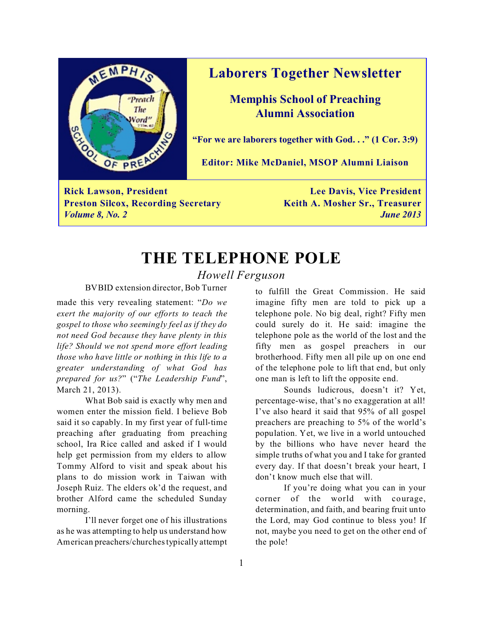

### **Laborers Together Newsletter**

**Memphis School of Preaching Alumni Association**

**"For we are laborers together with God. . ." (1 Cor. 3:9)**

**Editor: Mike McDaniel, MSOP Alumni Liaison**

**Rick Lawson, President Lee Davis, Vice President Preston Silcox, Recording Secretary Keith A. Mosher Sr., Treasurer** *Volume 8, No. 2 June 2013*

**THE TELEPHONE POLE**

*Howell Ferguson*

BVBID extension director, Bob Turner

made this very revealing statement: "*Do we exert the majority of our efforts to teach the gospel to those who seemingly feel as if they do not need God because they have plenty in this life? Should we not spend more effort leading those who have little or nothing in this life to a greater understanding of what God has prepared for us?*" ("*The Leadership Fund*", March 21, 2013).

What Bob said is exactly why men and women enter the mission field. I believe Bob said it so capably. In my first year of full-time preaching after graduating from preaching school, Ira Rice called and asked if I would help get permission from my elders to allow Tommy Alford to visit and speak about his plans to do mission work in Taiwan with Joseph Ruiz. The elders ok'd the request, and brother Alford came the scheduled Sunday morning.

I'll never forget one of his illustrations as he was attempting to help us understand how American preachers/churches typically attempt

to fulfill the Great Commission. He said imagine fifty men are told to pick up a telephone pole. No big deal, right? Fifty men could surely do it. He said: imagine the telephone pole as the world of the lost and the fifty men as gospel preachers in our brotherhood. Fifty men all pile up on one end of the telephone pole to lift that end, but only one man is left to lift the opposite end.

Sounds ludicrous, doesn't it? Yet, percentage-wise, that's no exaggeration at all! I've also heard it said that 95% of all gospel preachers are preaching to 5% of the world's population. Yet, we live in a world untouched by the billions who have never heard the simple truths of what you and I take for granted every day. If that doesn't break your heart, I don't know much else that will.

If you're doing what you can in your corner of the world with courage, determination, and faith, and bearing fruit unto the Lord, may God continue to bless you! If not, maybe you need to get on the other end of the pole!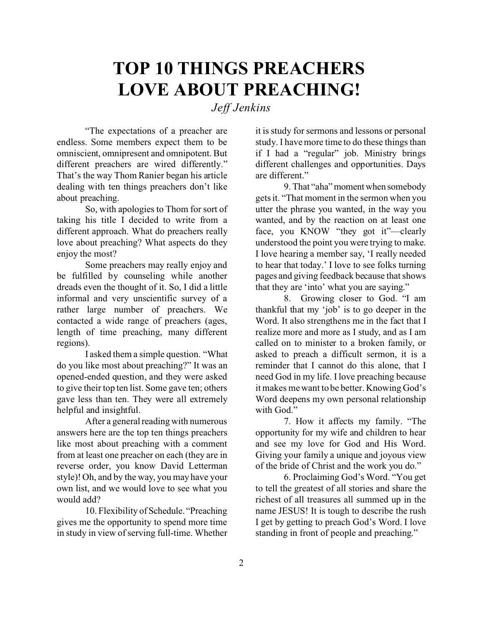# **TOP 10 THINGS PREACHERS LOVE ABOUT PREACHING!**

*Jeff Jenkins*

"The expectations of a preacher are endless. Some members expect them to be omniscient, omnipresent and omnipotent. But different preachers are wired differently." That's the way Thom Ranier began his article dealing with ten things preachers don't like about preaching.

So, with apologies to Thom for sort of taking his title I decided to write from a different approach. What do preachers really love about preaching? What aspects do they enjoy the most?

Some preachers may really enjoy and be fulfilled by counseling while another dreads even the thought of it. So, I did a little informal and very unscientific survey of a rather large number of preachers. We contacted a wide range of preachers (ages, length of time preaching, many different regions).

I asked them a simple question. "What do you like most about preaching?" It was an opened-ended question, and they were asked to give their top ten list. Some gave ten; others gave less than ten. They were all extremely helpful and insightful.

After a general reading with numerous answers here are the top ten things preachers like most about preaching with a comment from at least one preacher on each (they are in reverse order, you know David Letterman style)! Oh, and by the way, you may have your own list, and we would love to see what you would add?

10. Flexibility of Schedule. "Preaching gives me the opportunity to spend more time in study in view of serving full-time. Whether it is study for sermons and lessons or personal study. I have more time to do these things than if I had a "regular" job. Ministry brings different challenges and opportunities. Days are different."

9. That "aha" moment when somebody gets it. "That moment in the sermon when you utter the phrase you wanted, in the way you wanted, and by the reaction on at least one face, you KNOW "they got it"—clearly understood the point you were trying to make. I love hearing a member say, 'I really needed to hear that today.' I love to see folks turning pages and giving feedback because that shows that they are 'into' what you are saying."

8. Growing closer to God. "I am thankful that my 'job' is to go deeper in the Word. It also strengthens me in the fact that I realize more and more as I study, and as I am called on to minister to a broken family, or asked to preach a difficult sermon, it is a reminder that I cannot do this alone, that I need God in my life. I love preaching because it makes me want to be better. Knowing God's Word deepens my own personal relationship with God."

7. How it affects my family. "The opportunity for my wife and children to hear and see my love for God and His Word. Giving your family a unique and joyous view of the bride of Christ and the work you do."

6. Proclaiming God's Word. "You get to tell the greatest of all stories and share the richest of all treasures all summed up in the name JESUS! It is tough to describe the rush I get by getting to preach God's Word. I love standing in front of people and preaching."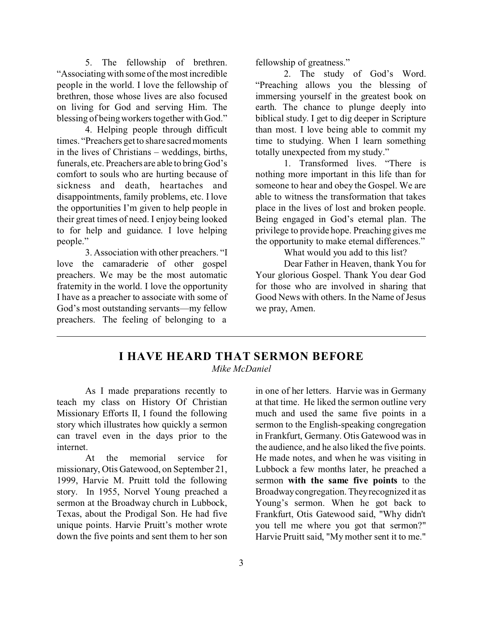5. The fellowship of brethren. "Associating with some of the most incredible people in the world. I love the fellowship of brethren, those whose lives are also focused on living for God and serving Him. The blessing of being workers together with God."

4. Helping people through difficult times. "Preachers get to share sacred moments in the lives of Christians – weddings, births, funerals, etc. Preachers are able to bring God's comfort to souls who are hurting because of sickness and death, heartaches and disappointments, family problems, etc. I love the opportunities I'm given to help people in their great times of need. I enjoy being looked to for help and guidance. I love helping people."

3. Association with other preachers. "I love the camaraderie of other gospel preachers. We may be the most automatic fraternity in the world. I love the opportunity I have as a preacher to associate with some of God's most outstanding servants—my fellow preachers. The feeling of belonging to a

fellowship of greatness."

2. The study of God's Word. "Preaching allows you the blessing of immersing yourself in the greatest book on earth. The chance to plunge deeply into biblical study. I get to dig deeper in Scripture than most. I love being able to commit my time to studying. When I learn something totally unexpected from my study."

1. Transformed lives. "There is nothing more important in this life than for someone to hear and obey the Gospel. We are able to witness the transformation that takes place in the lives of lost and broken people. Being engaged in God's eternal plan. The privilege to provide hope. Preaching gives me the opportunity to make eternal differences."

What would you add to this list?

Dear Father in Heaven, thank You for Your glorious Gospel. Thank You dear God for those who are involved in sharing that Good News with others. In the Name of Jesus we pray, Amen.

## **I HAVE HEARD THAT SERMON BEFORE**

*Mike McDaniel*

As I made preparations recently to teach my class on History Of Christian Missionary Efforts II, I found the following story which illustrates how quickly a sermon can travel even in the days prior to the internet.

At the memorial service for missionary, Otis Gatewood, on September 21, 1999, Harvie M. Pruitt told the following story. In 1955, Norvel Young preached a sermon at the Broadway church in Lubbock, Texas, about the Prodigal Son. He had five unique points. Harvie Pruitt's mother wrote down the five points and sent them to her son

in one of her letters. Harvie was in Germany at that time. He liked the sermon outline very much and used the same five points in a sermon to the English-speaking congregation in Frankfurt, Germany. Otis Gatewood was in the audience, and he also liked the five points. He made notes, and when he was visiting in Lubbock a few months later, he preached a sermon **with the same five points** to the Broadwaycongregation. They recognized it as Young's sermon. When he got back to Frankfurt, Otis Gatewood said, "Why didn't you tell me where you got that sermon?" Harvie Pruitt said, "My mother sent it to me."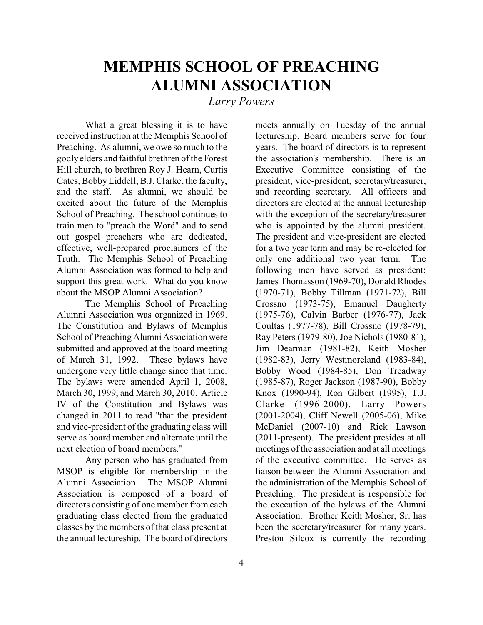# **MEMPHIS SCHOOL OF PREACHING ALUMNI ASSOCIATION**

*Larry Powers*

What a great blessing it is to have received instruction at the Memphis School of Preaching. As alumni, we owe so much to the godly elders and faithful brethren of the Forest Hill church, to brethren Roy J. Hearn, Curtis Cates, Bobby Liddell, B.J. Clarke, the faculty, and the staff. As alumni, we should be excited about the future of the Memphis School of Preaching. The school continues to train men to "preach the Word" and to send out gospel preachers who are dedicated, effective, well-prepared proclaimers of the Truth. The Memphis School of Preaching Alumni Association was formed to help and support this great work. What do you know about the MSOP Alumni Association?

The Memphis School of Preaching Alumni Association was organized in 1969. The Constitution and Bylaws of Memphis School of Preaching Alumni Association were submitted and approved at the board meeting of March 31, 1992. These bylaws have undergone very little change since that time. The bylaws were amended April 1, 2008, March 30, 1999, and March 30, 2010. Article IV of the Constitution and Bylaws was changed in 2011 to read "that the president and vice-president of the graduating class will serve as board member and alternate until the next election of board members."

Any person who has graduated from MSOP is eligible for membership in the Alumni Association. The MSOP Alumni Association is composed of a board of directors consisting of one member from each graduating class elected from the graduated classes by the members of that class present at the annual lectureship. The board of directors

meets annually on Tuesday of the annual lectureship. Board members serve for four years. The board of directors is to represent the association's membership. There is an Executive Committee consisting of the president, vice-president, secretary/treasurer, and recording secretary. All officers and directors are elected at the annual lectureship with the exception of the secretary/treasurer who is appointed by the alumni president. The president and vice-president are elected for a two year term and may be re-elected for only one additional two year term. The following men have served as president: James Thomasson (1969-70), Donald Rhodes (1970-71), Bobby Tillman (1971-72), Bill Crossno (1973-75), Emanuel Daugherty (1975-76), Calvin Barber (1976-77), Jack Coultas (1977-78), Bill Crossno (1978-79), Ray Peters (1979-80), Joe Nichols (1980-81), Jim Dearman (1981-82), Keith Mosher (1982-83), Jerry Westmoreland (1983-84), Bobby Wood (1984-85), Don Treadway (1985-87), Roger Jackson (1987-90), Bobby Knox (1990-94), Ron Gilbert (1995), T.J. Clarke (1996-2000), Larry Powers (2001-2004), Cliff Newell (2005-06), Mike McDaniel (2007-10) and Rick Lawson (2011-present). The president presides at all meetings of the association and at all meetings of the executive committee. He serves as liaison between the Alumni Association and the administration of the Memphis School of Preaching. The president is responsible for the execution of the bylaws of the Alumni Association. Brother Keith Mosher, Sr. has been the secretary/treasurer for many years. Preston Silcox is currently the recording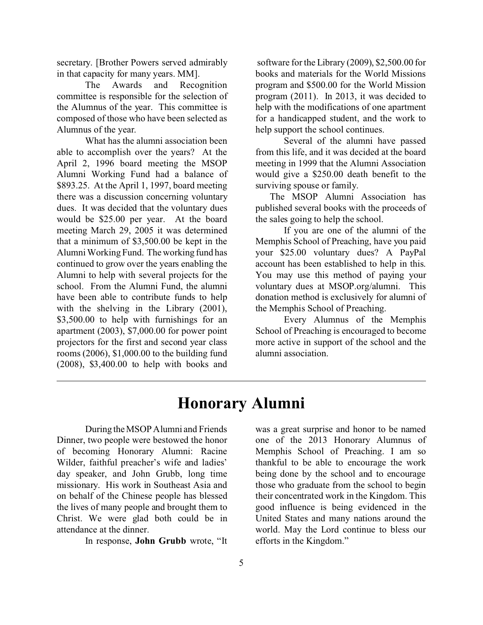secretary. [Brother Powers served admirably in that capacity for many years. MM].

The Awards and Recognition committee is responsible for the selection of the Alumnus of the year. This committee is composed of those who have been selected as Alumnus of the year.

What has the alumni association been able to accomplish over the years? At the April 2, 1996 board meeting the MSOP Alumni Working Fund had a balance of \$893.25. At the April 1, 1997, board meeting there was a discussion concerning voluntary dues. It was decided that the voluntary dues would be \$25.00 per year. At the board meeting March 29, 2005 it was determined that a minimum of \$3,500.00 be kept in the Alumni Working Fund. The working fund has continued to grow over the years enabling the Alumni to help with several projects for the school. From the Alumni Fund, the alumni have been able to contribute funds to help with the shelving in the Library (2001), \$3,500.00 to help with furnishings for an apartment (2003), \$7,000.00 for power point projectors for the first and second year class rooms (2006), \$1,000.00 to the building fund (2008), \$3,400.00 to help with books and

 software for the Library (2009), \$2,500.00 for books and materials for the World Missions program and \$500.00 for the World Mission program (2011). In 2013, it was decided to help with the modifications of one apartment for a handicapped student, and the work to help support the school continues.

Several of the alumni have passed from this life, and it was decided at the board meeting in 1999 that the Alumni Association would give a \$250.00 death benefit to the surviving spouse or family.

 The MSOP Alumni Association has published several books with the proceeds of the sales going to help the school.

If you are one of the alumni of the Memphis School of Preaching, have you paid your \$25.00 voluntary dues? A PayPal account has been established to help in this. You may use this method of paying your voluntary dues at MSOP.org/alumni. This donation method is exclusively for alumni of the Memphis School of Preaching.

Every Alumnus of the Memphis School of Preaching is encouraged to become more active in support of the school and the alumni association.

# **Honorary Alumni**

During the MSOP Alumni and Friends Dinner, two people were bestowed the honor of becoming Honorary Alumni: Racine Wilder, faithful preacher's wife and ladies' day speaker, and John Grubb, long time missionary. His work in Southeast Asia and on behalf of the Chinese people has blessed the lives of many people and brought them to Christ. We were glad both could be in attendance at the dinner.

In response, **John Grubb** wrote, "It

was a great surprise and honor to be named one of the 2013 Honorary Alumnus of Memphis School of Preaching. I am so thankful to be able to encourage the work being done by the school and to encourage those who graduate from the school to begin their concentrated work in the Kingdom. This good influence is being evidenced in the United States and many nations around the world. May the Lord continue to bless our efforts in the Kingdom."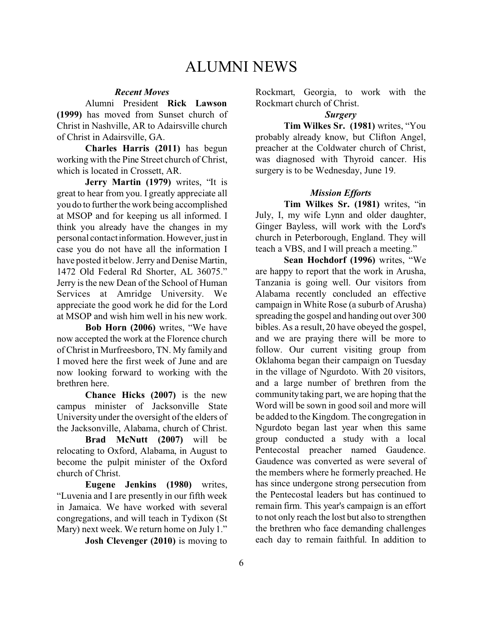### ALUMNI NEWS

#### *Recent Moves*

Alumni President **Rick Lawson (1999)** has moved from Sunset church of Christ in Nashville, AR to Adairsville church of Christ in Adairsville, GA.

**Charles Harris (2011)** has begun working with the Pine Street church of Christ, which is located in Crossett, AR.

**Jerry Martin (1979)** writes, "It is great to hear from you. I greatly appreciate all you do to further the work being accomplished at MSOP and for keeping us all informed. I think you already have the changes in my personal contact information.However, just in case you do not have all the information I have posted it below. Jerry and Denise Martin, 1472 Old Federal Rd Shorter, AL 36075." Jerry is the new Dean of the School of Human Services at Amridge University. We appreciate the good work he did for the Lord at MSOP and wish him well in his new work.

**Bob Horn (2006)** writes, "We have now accepted the work at the Florence church of Christ in Murfreesboro, TN. My family and I moved here the first week of June and are now looking forward to working with the brethren here.

**Chance Hicks (2007)** is the new campus minister of Jacksonville State University under the oversight of the elders of the Jacksonville, Alabama, church of Christ.

**Brad McNutt (2007)** will be relocating to Oxford, Alabama, in August to become the pulpit minister of the Oxford church of Christ.

**Eugene Jenkins (1980)** writes, "Luvenia and I are presently in our fifth week in Jamaica. We have worked with several congregations, and will teach in Tydixon (St Mary) next week. We return home on July 1."

**Josh Clevenger (2010)** is moving to

Rockmart, Georgia, to work with the Rockmart church of Christ.

#### *Surgery*

**Tim Wilkes Sr. (1981)** writes, "You probably already know, but Clifton Angel, preacher at the Coldwater church of Christ, was diagnosed with Thyroid cancer. His surgery is to be Wednesday, June 19.

#### *Mission Efforts*

**Tim Wilkes Sr. (1981)** writes, "in July, I, my wife Lynn and older daughter, Ginger Bayless, will work with the Lord's church in Peterborough, England. They will teach a VBS, and I will preach a meeting."

**Sean Hochdorf (1996)** writes, "We are happy to report that the work in Arusha, Tanzania is going well. Our visitors from Alabama recently concluded an effective campaign in White Rose (a suburb of Arusha) spreading the gospel and handing out over 300 bibles. As a result, 20 have obeyed the gospel, and we are praying there will be more to follow. Our current visiting group from Oklahoma began their campaign on Tuesday in the village of Ngurdoto. With 20 visitors, and a large number of brethren from the community taking part, we are hoping that the Word will be sown in good soil and more will be added to the Kingdom. The congregation in Ngurdoto began last year when this same group conducted a study with a local Pentecostal preacher named Gaudence. Gaudence was converted as were several of the members where he formerly preached. He has since undergone strong persecution from the Pentecostal leaders but has continued to remain firm. This year's campaign is an effort to not only reach the lost but also to strengthen the brethren who face demanding challenges each day to remain faithful. In addition to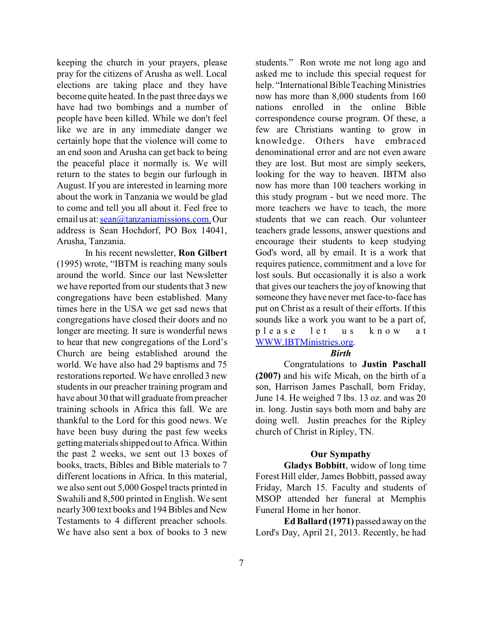keeping the church in your prayers, please pray for the citizens of Arusha as well. Local elections are taking place and they have become quite heated. In the past three days we have had two bombings and a number of people have been killed. While we don't feel like we are in any immediate danger we certainly hope that the violence will come to an end soon and Arusha can get back to being the peaceful place it normally is. We will return to the states to begin our furlough in August. If you are interested in learning more about the work in Tanzania we would be glad to come and tell you all about it. Feel free to email us at: [sean@tanzaniamissions.com.](mailto:sean@tanzaniamissions.com.) Our address is Sean Hochdorf, PO Box 14041, Arusha, Tanzania.

In his recent newsletter, **Ron Gilbert** (1995) wrote, "IBTM is reaching many souls around the world. Since our last Newsletter we have reported from our students that 3 new congregations have been established. Many times here in the USA we get sad news that congregations have closed their doors and no longer are meeting. It sure is wonderful news to hear that new congregations of the Lord's Church are being established around the world. We have also had 29 baptisms and 75 restorations reported. We have enrolled 3 new students in our preacher training program and have about 30 that will graduate from preacher training schools in Africa this fall. We are thankful to the Lord for this good news. We have been busy during the past few weeks getting materials shipped out to Africa. Within the past 2 weeks, we sent out 13 boxes of books, tracts, Bibles and Bible materials to 7 different locations in Africa. In this material, we also sent out 5,000 Gospel tracts printed in Swahili and 8,500 printed in English. We sent nearly 300 text books and 194 Bibles and New Testaments to 4 different preacher schools. We have also sent a box of books to 3 new

students." Ron wrote me not long ago and asked me to include this special request for help. "International Bible Teaching Ministries now has more than 8,000 students from 160 nations enrolled in the online Bible correspondence course program. Of these, a few are Christians wanting to grow in knowledge. Others have embraced denominational error and are not even aware they are lost. But most are simply seekers, looking for the way to heaven. IBTM also now has more than 100 teachers working in this study program - but we need more. The more teachers we have to teach, the more students that we can reach. Our volunteer teachers grade lessons, answer questions and encourage their students to keep studying God's word, all by email. It is a work that requires patience, commitment and a love for lost souls. But occasionally it is also a work that gives our teachers the joy of knowing that someone they have never met face-to-face has put on Christ as a result of their efforts. If this sounds like a work you want to be a part of, please let us know a t [WWW.IBTMinistries.org](http://WWW.IBTMinistries.org).

#### *Birth*

Congratulations to **Justin Paschall (2007)** and his wife Micah, on the birth of a son, Harrison James Paschall, born Friday, June 14. He weighed 7 lbs. 13 oz. and was 20 in. long. Justin says both mom and baby are doing well. Justin preaches for the Ripley church of Christ in Ripley, TN.

#### **Our Sympathy**

**Gladys Bobbitt**, widow of long time Forest Hill elder, James Bobbitt, passed away Friday, March 15. Faculty and students of MSOP attended her funeral at Memphis Funeral Home in her honor.

**Ed Ballard (1971)** passed away on the Lord's Day, April 21, 2013. Recently, he had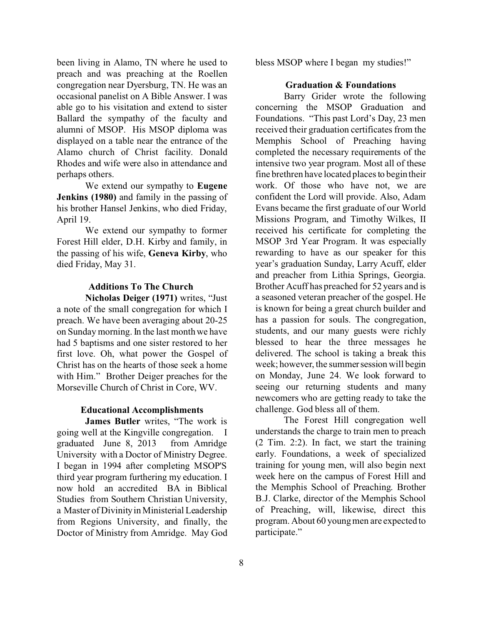been living in Alamo, TN where he used to preach and was preaching at the Roellen congregation near Dyersburg, TN. He was an occasional panelist on A Bible Answer. I was able go to his visitation and extend to sister Ballard the sympathy of the faculty and alumni of MSOP. His MSOP diploma was displayed on a table near the entrance of the Alamo church of Christ facility. Donald Rhodes and wife were also in attendance and perhaps others.

We extend our sympathy to **Eugene Jenkins (1980)** and family in the passing of his brother Hansel Jenkins, who died Friday, April 19.

We extend our sympathy to former Forest Hill elder, D.H. Kirby and family, in the passing of his wife, **Geneva Kirby**, who died Friday, May 31.

#### **Additions To The Church**

**Nicholas Deiger (1971)** writes, "Just a note of the small congregation for which I preach. We have been averaging about 20-25 on Sunday morning. In the last month we have had 5 baptisms and one sister restored to her first love. Oh, what power the Gospel of Christ has on the hearts of those seek a home with Him." Brother Deiger preaches for the Morseville Church of Christ in Core, WV.

#### **Educational Accomplishments**

**James Butler** writes, "The work is going well at the Kingville congregation. I graduated June 8, 2013 from Amridge University with a Doctor of Ministry Degree. I began in 1994 after completing MSOP'S third year program furthering my education. I now hold an accredited BA in Biblical Studies from Southern Christian University, a Master of Divinity in Ministerial Leadership from Regions University, and finally, the Doctor of Ministry from Amridge. May God bless MSOP where I began my studies!"

#### **Graduation & Foundations**

Barry Grider wrote the following concerning the MSOP Graduation and Foundations. "This past Lord's Day, 23 men received their graduation certificates from the Memphis School of Preaching having completed the necessary requirements of the intensive two year program. Most all of these fine brethren have located places to begin their work. Of those who have not, we are confident the Lord will provide. Also, Adam Evans became the first graduate of our World Missions Program, and Timothy Wilkes, II received his certificate for completing the MSOP 3rd Year Program. It was especially rewarding to have as our speaker for this year's graduation Sunday, Larry Acuff, elder and preacher from Lithia Springs, Georgia. Brother Acuff has preached for 52 years and is a seasoned veteran preacher of the gospel. He is known for being a great church builder and has a passion for souls. The congregation, students, and our many guests were richly blessed to hear the three messages he delivered. The school is taking a break this week; however, the summer session will begin on Monday, June 24. We look forward to seeing our returning students and many newcomers who are getting ready to take the challenge. God bless all of them.

The Forest Hill congregation well understands the charge to train men to preach (2 Tim. 2:2). In fact, we start the training early. Foundations, a week of specialized training for young men, will also begin next week here on the campus of Forest Hill and the Memphis School of Preaching. Brother B.J. Clarke, director of the Memphis School of Preaching, will, likewise, direct this program. About 60 young men are expected to participate."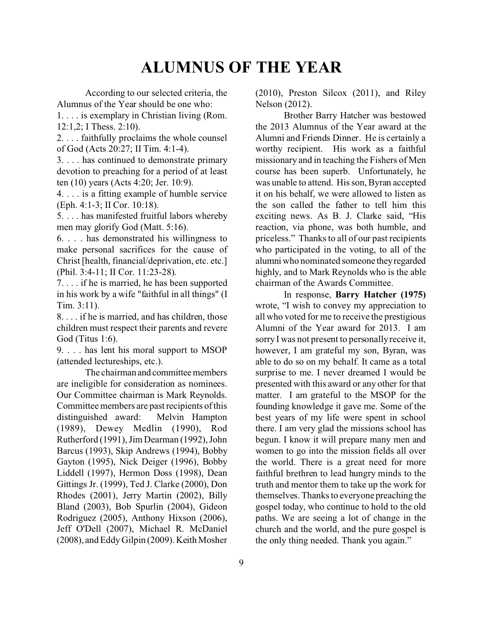# **ALUMNUS OF THE YEAR**

According to our selected criteria, the Alumnus of the Year should be one who:

1. . . . is exemplary in Christian living (Rom. 12:1,2; I Thess. 2:10).

2. . . . faithfully proclaims the whole counsel of God (Acts 20:27; II Tim. 4:1-4).

3. . . . has continued to demonstrate primary devotion to preaching for a period of at least ten (10) years (Acts 4:20; Jer. 10:9).

4. . . . is a fitting example of humble service (Eph. 4:1-3; II Cor. 10:18).

5. . . . has manifested fruitful labors whereby men may glorify God (Matt. 5:16).

6. . . . has demonstrated his willingness to make personal sacrifices for the cause of Christ [health, financial/deprivation, etc. etc.] (Phil. 3:4-11; II Cor. 11:23-28).

7. . . . if he is married, he has been supported in his work by a wife "faithful in all things" (I Tim. 3:11).

8. . . . if he is married, and has children, those children must respect their parents and revere God (Titus 1:6).

9. . . . has lent his moral support to MSOP (attended lectureships, etc.).

The chairman and committee members are ineligible for consideration as nominees. Our Committee chairman is Mark Reynolds. Committee members are past recipients of this distinguished award: Melvin Hampton (1989), Dewey Medlin (1990), Rod Rutherford (1991), Jim Dearman (1992), John Barcus (1993), Skip Andrews (1994), Bobby Gayton (1995), Nick Deiger (1996), Bobby Liddell (1997), Hermon Doss (1998), Dean Gittings Jr. (1999), Ted J. Clarke (2000), Don Rhodes (2001), Jerry Martin (2002), Billy Bland (2003), Bob Spurlin (2004), Gideon Rodriguez (2005), Anthony Hixson (2006), Jeff O'Dell (2007), Michael R. McDaniel (2008), and Eddy Gilpin (2009). Keith Mosher

(2010), Preston Silcox (2011), and Riley Nelson (2012).

Brother Barry Hatcher was bestowed the 2013 Alumnus of the Year award at the Alumni and Friends Dinner. He is certainly a worthy recipient. His work as a faithful missionary and in teaching the Fishers of Men course has been superb. Unfortunately, he was unable to attend. His son, Byran accepted it on his behalf, we were allowed to listen as the son called the father to tell him this exciting news. As B. J. Clarke said, "His reaction, via phone, was both humble, and priceless." Thanks to all of our past recipients who participated in the voting, to all of the alumni who nominated someone theyregarded highly, and to Mark Reynolds who is the able chairman of the Awards Committee.

In response, **Barry Hatcher (1975)** wrote, "I wish to convey my appreciation to all who voted for me to receive the prestigious Alumni of the Year award for 2013. I am sorry I was not present to personally receive it, however, I am grateful my son, Byran, was able to do so on my behalf. It came as a total surprise to me. I never dreamed I would be presented with this award or any other for that matter. I am grateful to the MSOP for the founding knowledge it gave me. Some of the best years of my life were spent in school there. I am very glad the missions school has begun. I know it will prepare many men and women to go into the mission fields all over the world. There is a great need for more faithful brethren to lead hungry minds to the truth and mentor them to take up the work for themselves. Thanks to everyone preaching the gospel today, who continue to hold to the old paths. We are seeing a lot of change in the church and the world, and the pure gospel is the only thing needed. Thank you again."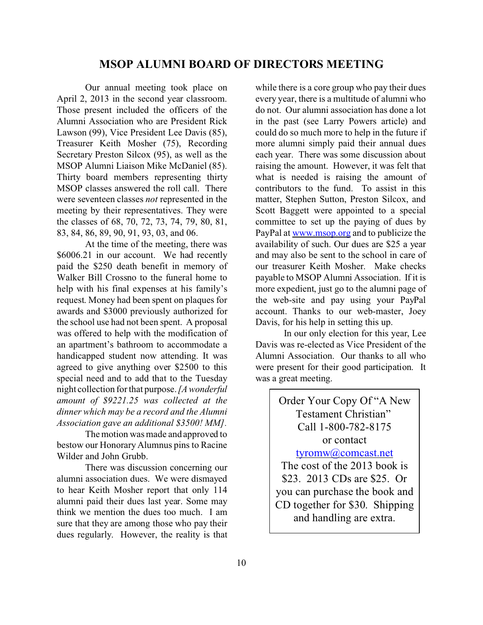#### **MSOP ALUMNI BOARD OF DIRECTORS MEETING**

Our annual meeting took place on April 2, 2013 in the second year classroom. Those present included the officers of the Alumni Association who are President Rick Lawson (99), Vice President Lee Davis (85), Treasurer Keith Mosher (75), Recording Secretary Preston Silcox (95), as well as the MSOP Alumni Liaison Mike McDaniel (85). Thirty board members representing thirty MSOP classes answered the roll call. There were seventeen classes *not* represented in the meeting by their representatives. They were the classes of 68, 70, 72, 73, 74, 79, 80, 81, 83, 84, 86, 89, 90, 91, 93, 03, and 06.

At the time of the meeting, there was \$6006.21 in our account. We had recently paid the \$250 death benefit in memory of Walker Bill Crossno to the funeral home to help with his final expenses at his family's request. Money had been spent on plaques for awards and \$3000 previously authorized for the school use had not been spent. A proposal was offered to help with the modification of an apartment's bathroom to accommodate a handicapped student now attending. It was agreed to give anything over \$2500 to this special need and to add that to the Tuesday night collection for that purpose. *[A wonderful amount of \$9221.25 was collected at the dinner which may be a record and the Alumni Association gave an additional \$3500! MM].*

The motion was made and approved to bestow our Honorary Alumnus pins to Racine Wilder and John Grubb.

There was discussion concerning our alumni association dues. We were dismayed to hear Keith Mosher report that only 114 alumni paid their dues last year. Some may think we mention the dues too much. I am sure that they are among those who pay their dues regularly. However, the reality is that while there is a core group who pay their dues every year, there is a multitude of alumni who do not. Our alumni association has done a lot in the past (see Larry Powers article) and could do so much more to help in the future if more alumni simply paid their annual dues each year. There was some discussion about raising the amount. However, it was felt that what is needed is raising the amount of contributors to the fund. To assist in this matter, Stephen Sutton, Preston Silcox, and Scott Baggett were appointed to a special committee to set up the paying of dues by PayPal at [www.msop.org](http://www.msop.org) and to publicize the availability of such. Our dues are \$25 a year and may also be sent to the school in care of our treasurer Keith Mosher. Make checks payable to MSOP Alumni Association. If it is more expedient, just go to the alumni page of the web-site and pay using your PayPal account. Thanks to our web-master, Joey Davis, for his help in setting this up.

In our only election for this year, Lee Davis was re-elected as Vice President of the Alumni Association. Our thanks to all who were present for their good participation. It was a great meeting.

> Order Your Copy Of "A New Testament Christian" Call 1-800-782-8175 or contact [tyromw@comcast.net](mailto:tyromw@comcast.net) The cost of the 2013 book is \$23. 2013 CDs are \$25. Or you can purchase the book and CD together for \$30. Shipping and handling are extra.